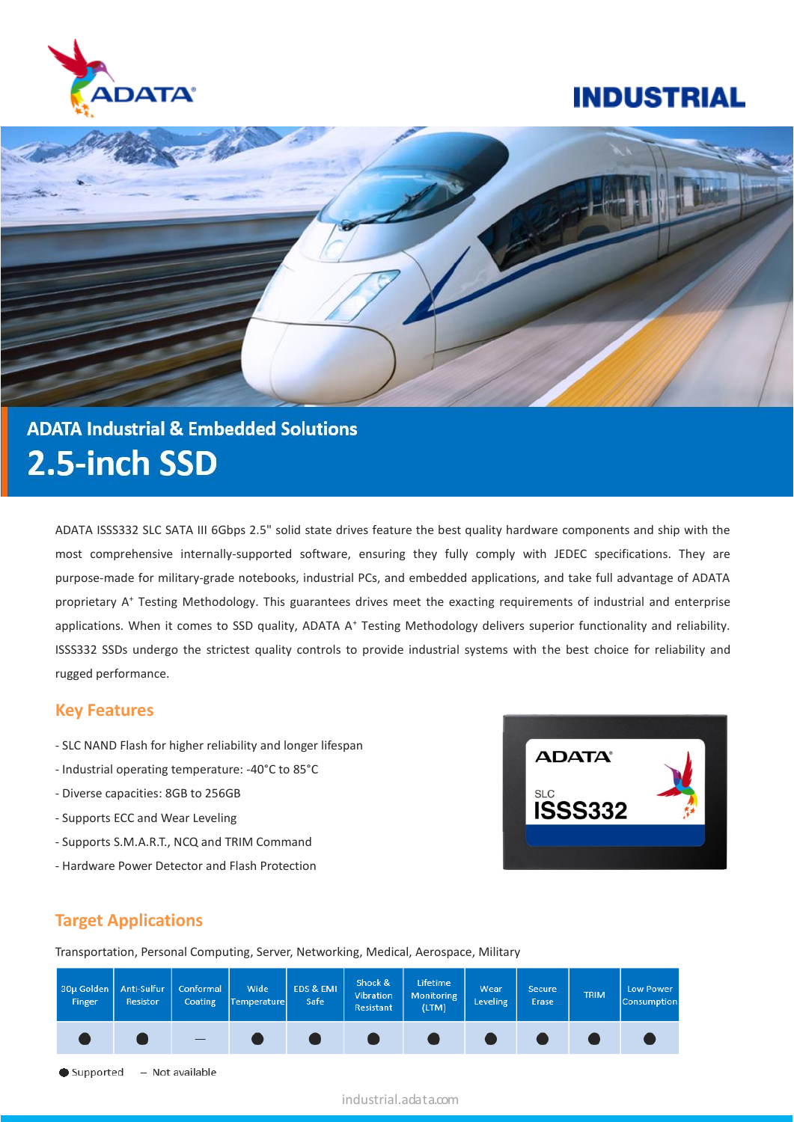

# **ADATA Industrial & Embedded Solutions** 2.5-inch SSD

ADATA ISSS332 SLC SATA III 6Gbps 2.5" solid state drives feature the best quality hardware components and ship with the most comprehensive internally-supported software, ensuring they fully comply with JEDEC specifications. They are purpose-made for military-grade notebooks, industrial PCs, and embedded applications, and take full advantage of ADATA proprietary A<sup>+</sup> Testing Methodology. This guarantees drives meet the exacting requirements of industrial and enterprise applications. When it comes to SSD quality, ADATA A<sup>+</sup> Testing Methodology delivers superior functionality and reliability. ISSS332 SSDs undergo the strictest quality controls to provide industrial systems with the best choice for reliability and rugged performance.

#### **Key Features**

- SLC NAND Flash for higher reliability and longer lifespan
- Industrial operating temperature: -40°C to 85°C
- Diverse capacities: 8GB to 256GB
- Supports ECC and Wear Leveling
- Supports S.M.A.R.T., NCQ and TRIM Command
- Hardware Power Detector and Flash Protection



### **Target Applications**

Transportation, Personal Computing, Server, Networking, Medical, Aerospace, Military



industrial.adata.com